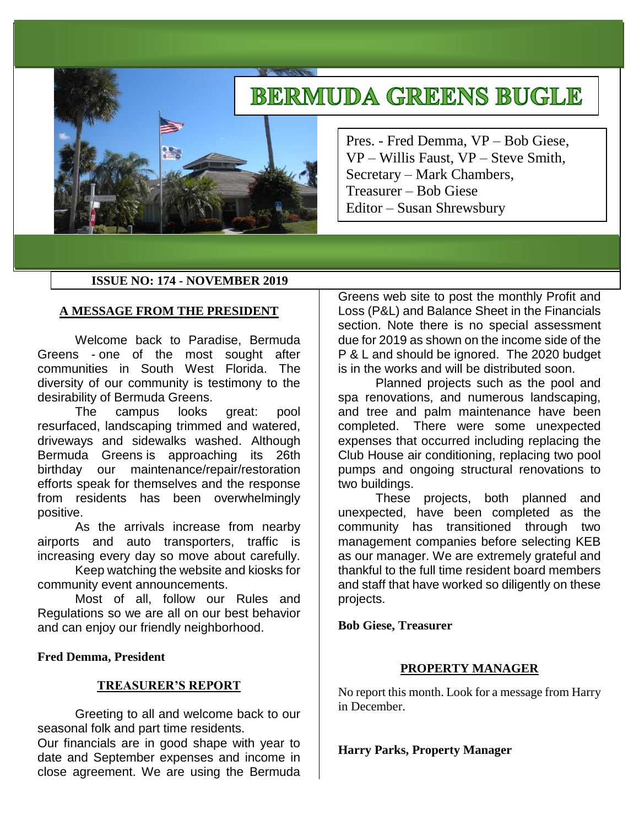# **BERMUDA GREENS BUGLE**

Pres. - Fred Demma, VP – Bob Giese, VP – Willis Faust, VP – Steve Smith, Secretary – Mark Chambers, Treasurer – Bob Giese Editor – Susan Shrewsbury

## **ISSUE NO: 174 - NOVEMBER 2019**

## **A MESSAGE FROM THE PRESIDENT**

Welcome back to Paradise, Bermuda Greens - one of the most sought after communities in South West Florida. The diversity of our community is testimony to the desirability of Bermuda Greens.

The campus looks great: pool resurfaced, landscaping trimmed and watered, driveways and sidewalks washed. Although Bermuda Greens is approaching its 26th birthday our maintenance/repair/restoration efforts speak for themselves and the response from residents has been overwhelmingly positive.

As the arrivals increase from nearby airports and auto transporters, traffic is increasing every day so move about carefully.

Keep watching the website and kiosks for community event announcements.

Most of all, follow our Rules and Regulations so we are all on our best behavior and can enjoy our friendly neighborhood.

## **Fred Demma, President**

## **TREASURER'S REPORT**

Greeting to all and welcome back to our seasonal folk and part time residents.

Our financials are in good shape with year to date and September expenses and income in close agreement. We are using the Bermuda Greens web site to post the monthly Profit and Loss (P&L) and Balance Sheet in the Financials section. Note there is no special assessment due for 2019 as shown on the income side of the P & L and should be ignored. The 2020 budget is in the works and will be distributed soon.

Planned projects such as the pool and spa renovations, and numerous landscaping, and tree and palm maintenance have been completed. There were some unexpected expenses that occurred including replacing the Club House air conditioning, replacing two pool pumps and ongoing structural renovations to two buildings.

These projects, both planned and unexpected, have been completed as the community has transitioned through two management companies before selecting KEB as our manager. We are extremely grateful and thankful to the full time resident board members and staff that have worked so diligently on these projects.

## **Bob Giese, Treasurer**

## **PROPERTY MANAGER**

No report this month. Look for a message from Harry in December.

**Harry Parks, Property Manager**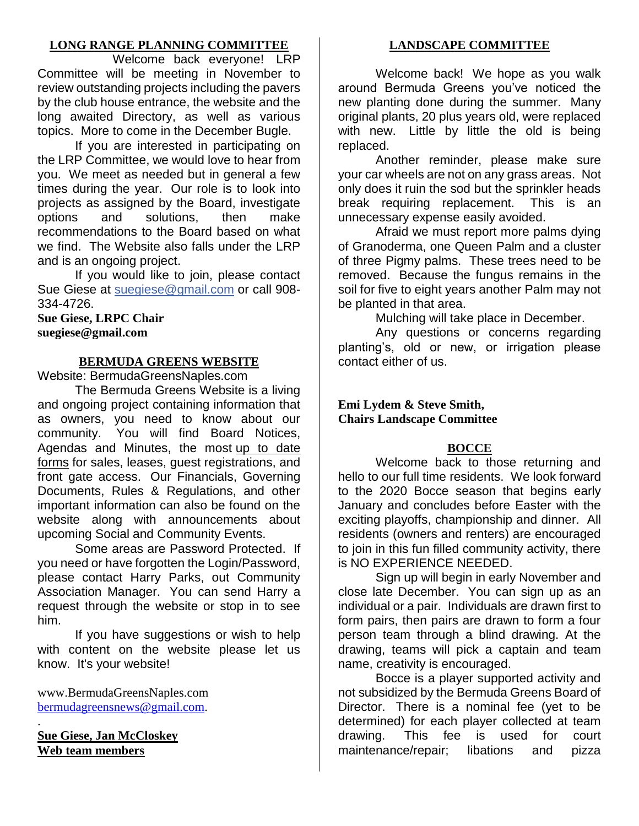# **LONG RANGE PLANNING COMMITTEE**

Welcome back everyone! LRP Committee will be meeting in November to review outstanding projects including the pavers by the club house entrance, the website and the long awaited Directory, as well as various topics. More to come in the December Bugle.

If you are interested in participating on the LRP Committee, we would love to hear from you. We meet as needed but in general a few times during the year. Our role is to look into projects as assigned by the Board, investigate options and solutions, then make recommendations to the Board based on what we find. The Website also falls under the LRP and is an ongoing project.

If you would like to join, please contact Sue Giese at [suegiese@gmail.com](mailto:suegiese@gmail.com) or call 908- 334-4726.

**Sue Giese, LRPC Chair suegiese@gmail.com**

## **BERMUDA GREENS WEBSITE**

Website: BermudaGreensNaples.com

The Bermuda Greens Website is a living and ongoing project containing information that as owners, you need to know about our community. You will find Board Notices, Agendas and Minutes, the most up to date forms for sales, leases, guest registrations, and front gate access. Our Financials, Governing Documents, Rules & Regulations, and other important information can also be found on the website along with announcements about upcoming Social and Community Events.

Some areas are Password Protected. If you need or have forgotten the Login/Password, please contact Harry Parks, out Community Association Manager. You can send Harry a request through the website or stop in to see him.

If you have suggestions or wish to help with content on the website please let us know. It's your website!

www.BermudaGreensNaples.com [bermudagreensnews@gmail.com.](mailto:bermudagreensnews@gmail.com)

**Sue Giese, Jan McCloskey Web team members**

.

# **LANDSCAPE COMMITTEE**

Welcome back! We hope as you walk around Bermuda Greens you've noticed the new planting done during the summer. Many original plants, 20 plus years old, were replaced with new. Little by little the old is being replaced.

Another reminder, please make sure your car wheels are not on any grass areas. Not only does it ruin the sod but the sprinkler heads break requiring replacement. This is an unnecessary expense easily avoided.

Afraid we must report more palms dying of Granoderma, one Queen Palm and a cluster of three Pigmy palms. These trees need to be removed. Because the fungus remains in the soil for five to eight years another Palm may not be planted in that area.

Mulching will take place in December.

Any questions or concerns regarding planting's, old or new, or irrigation please contact either of us.

## **Emi Lydem & Steve Smith, Chairs Landscape Committee**

## **BOCCE**

Welcome back to those returning and hello to our full time residents. We look forward to the 2020 Bocce season that begins early January and concludes before Easter with the exciting playoffs, championship and dinner. All residents (owners and renters) are encouraged to join in this fun filled community activity, there is NO EXPERIENCE NEEDED.

Sign up will begin in early November and close late December. You can sign up as an individual or a pair. Individuals are drawn first to form pairs, then pairs are drawn to form a four person team through a blind drawing. At the drawing, teams will pick a captain and team name, creativity is encouraged.

Bocce is a player supported activity and not subsidized by the Bermuda Greens Board of Director. There is a nominal fee (yet to be determined) for each player collected at team drawing. This fee is used for court maintenance/repair; libations and pizza